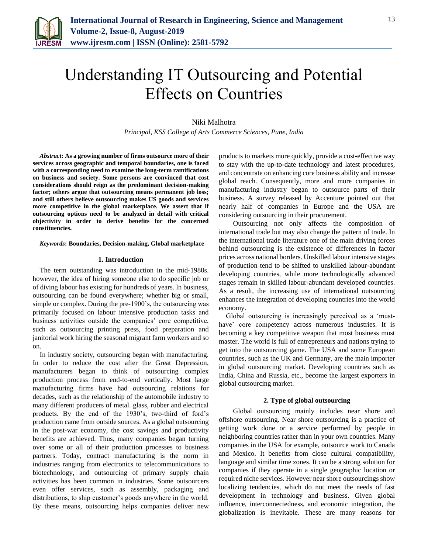

# Understanding IT Outsourcing and Potential Effects on Countries

## Niki Malhotra

*Principal, KSS College of Arts Commerce Sciences, Pune, India*

*Abstract***: As a growing number of firms outsource more of their services across geographic and temporal boundaries, one is faced with a corresponding need to examine the long-term ramifications on business and society. Some persons are convinced that cost considerations should reign as the predominant decision-making factor; others argue that outsourcing means permanent job loss; and still others believe outsourcing makes US goods and services more competitive in the global marketplace. We assert that if outsourcing options need to be analyzed in detail with critical objectivity in order to derive benefits for the concerned constituencies.**

#### *Keywords***: Boundaries, Decision-making, Global marketplace**

#### **1. Introduction**

The term outstanding was introduction in the mid-1980s. however, the idea of hiring someone else to do specific job or of diving labour has existing for hundreds of years. In business, outsourcing can be found everywhere; whether big or small, simple or complex. During the pre-1900's, the outsourcing was primarily focused on labour intensive production tasks and business activities outside the companies' core competitive, such as outsourcing printing press, food preparation and janitorial work hiring the seasonal migrant farm workers and so on.

In industry society, outsourcing began with manufacturing. In order to reduce the cost after the Great Depression, manufacturers began to think of outsourcing complex production process from end-to-end vertically. Most large manufacturing firms have had outsourcing relations for decades, such as the relationship of the automobile industry to many different producers of metal. glass, rubber and electrical products. By the end of the 1930's, two-third of ford's production came from outside sources. As a global outsourcing in the post-war economy, the cost savings and productivity benefits are achieved. Thus, many companies began turning over some or all of their production processes to business partners. Today, contract manufacturing is the norm in industries ranging from electronics to telecommunications to biotechnology, and outsourcing of primary supply chain activities has been common in industries. Some outsourcers even offer services, such as assembly, packaging and distributions, to ship customer's goods anywhere in the world. By these means, outsourcing helps companies deliver new

products to markets more quickly, provide a cost-effective way to stay with the up-to-date technology and latest procedures, and concentrate on enhancing core business ability and increase global reach. Consequently, more and more companies in manufacturing industry began to outsource parts of their business. A survey released by Accenture pointed out that nearly half of companies in Europe and the USA are considering outsourcing in their procurement.

Outsourcing not only affects the composition of international trade but may also change the pattern of trade. In the international trade literature one of the main driving forces behind outsourcing is the existence of differences in factor prices across national borders. Unskilled labour intensive stages of production tend to be shifted to unskilled labour-abundant developing countries, while more technologically advanced stages remain in skilled labour-abundant developed countries. As a result, the increasing use of international outsourcing enhances the integration of developing countries into the world economy.

Global outsourcing is increasingly perceived as a 'musthave' core competency across numerous industries. It is becoming a key competitive weapon that most business must master. The world is full of entrepreneurs and nations trying to get into the outsourcing game. The USA and some European countries, such as the UK and Germany, are the main importer in global outsourcing market. Developing countries such as India, China and Russia, etc., become the largest exporters in global outsourcing market.

## **2. Type of global outsourcing**

Global outsourcing mainly includes near shore and offshore outsourcing. Near shore outsourcing is a practice of getting work done or a service performed by people in neighboring countries rather than in your own countries. Many companies in the USA for example, outsource work to Canada and Mexico. It benefits from close cultural compatibility, language and similar time zones. It can be a strong solution for companies if they operate in a single geographic location or required niche services. However near shore outsourcings show localizing tendencies, which do not meet the needs of fast development in technology and business. Given global influence, interconnectedness, and economic integration, the globalization is inevitable. These are many reasons for